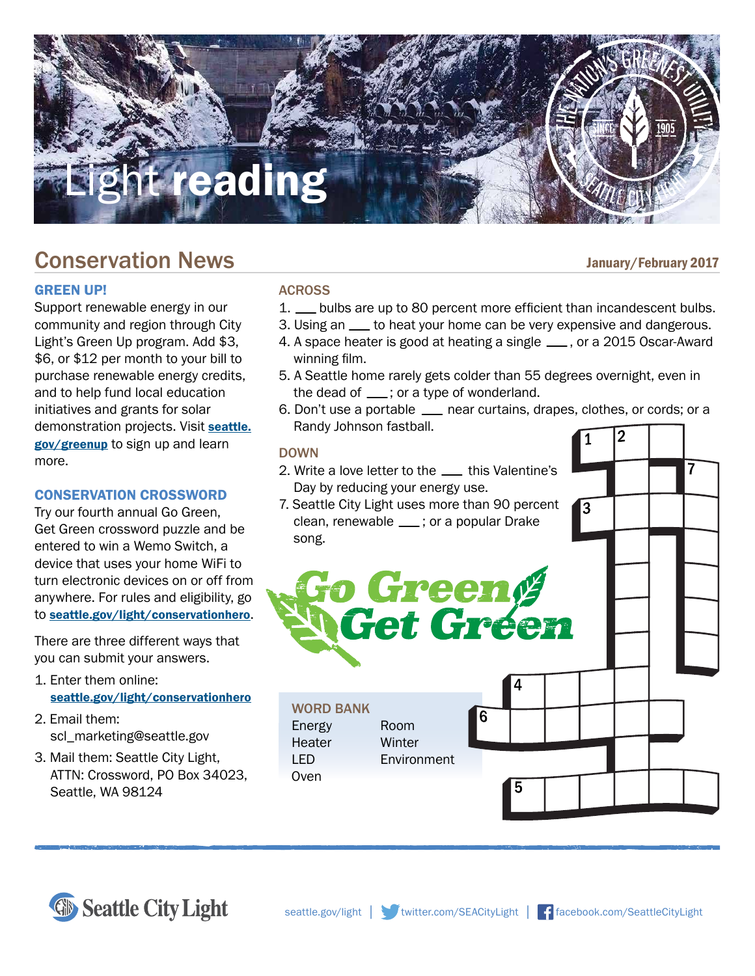

# Conservation News

## GREEN UP!

Support renewable energy in our community and region through City Light's Green Up program. Add \$3, \$6, or \$12 per month to your bill to purchase renewable energy credits, and to help fund local education initiatives and grants for solar demonstration projects. Visit seattle. gov/greenup to sign up and learn more.

## CONSERVATION CROSSWORD

Try our fourth annual Go Green, Get Green crossword puzzle and be entered to win a Wemo Switch, a device that uses your home WiFi to turn electronic devices on or off from anywhere. For rules and eligibility, go to seattle.gov/light/conservationhero.

There are three different ways that you can submit your answers.

- 1. Enter them online: seattle.gov/light/conservationhero
- 2. Email them: scl\_marketing@seattle.gov
- 3. Mail them: Seattle City Light, ATTN: Crossword, PO Box 34023, Seattle, WA 98124

### ACROSS

- 1.  $\Box$  bulbs are up to 80 percent more efficient than incandescent bulbs.
- 3. Using an  $\frac{1}{1}$  to heat your home can be very expensive and dangerous.
	- 4. A space heater is good at heating a single  $\_\_\$ , or a 2015 Oscar-Award winning film.
	- 5. A Seattle home rarely gets colder than 55 degrees overnight, even in the dead of  $\frac{1}{1}$ ; or a type of wonderland.
	- 6. Don't use a portable \_\_ near curtains, drapes, clothes, or cords; or a Randy Johnson fastball. 2

### DOWN





January/February 2017